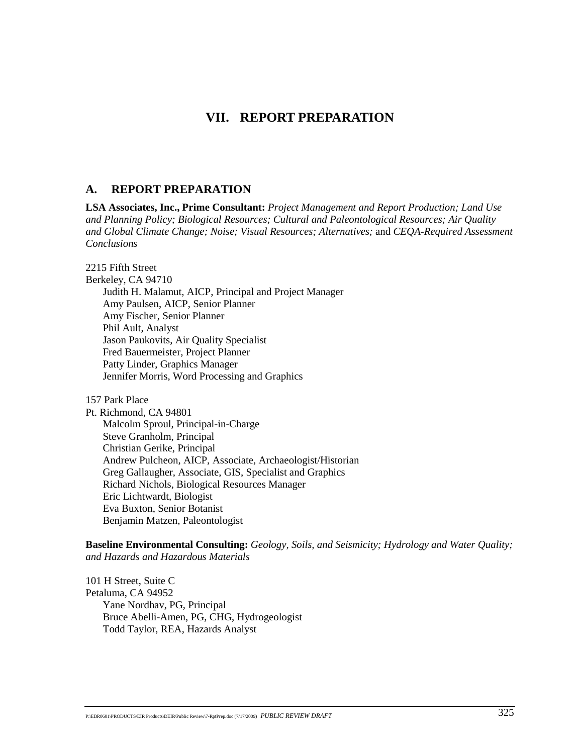# **VII. REPORT PREPARATION**

### **A. REPORT PREPARATION**

**LSA Associates, Inc., Prime Consultant:** *Project Management and Report Production; Land Use and Planning Policy; Biological Resources; Cultural and Paleontological Resources; Air Quality and Global Climate Change; Noise; Visual Resources; Alternatives;* and *CEQA-Required Assessment Conclusions*

2215 Fifth Street

Berkeley, CA 94710

Judith H. Malamut, AICP, Principal and Project Manager Amy Paulsen, AICP, Senior Planner Amy Fischer, Senior Planner Phil Ault, Analyst Jason Paukovits, Air Quality Specialist Fred Bauermeister, Project Planner Patty Linder, Graphics Manager Jennifer Morris, Word Processing and Graphics

157 Park Place

Pt. Richmond, CA 94801 Malcolm Sproul, Principal-in-Charge Steve Granholm, Principal Christian Gerike, Principal Andrew Pulcheon, AICP, Associate, Archaeologist/Historian Greg Gallaugher, Associate, GIS, Specialist and Graphics Richard Nichols, Biological Resources Manager Eric Lichtwardt, Biologist Eva Buxton, Senior Botanist Benjamin Matzen, Paleontologist

**Baseline Environmental Consulting:** *Geology, Soils, and Seismicity; Hydrology and Water Quality; and Hazards and Hazardous Materials* 

101 H Street, Suite C Petaluma, CA 94952 Yane Nordhav, PG, Principal Bruce Abelli-Amen, PG, CHG, Hydrogeologist Todd Taylor, REA, Hazards Analyst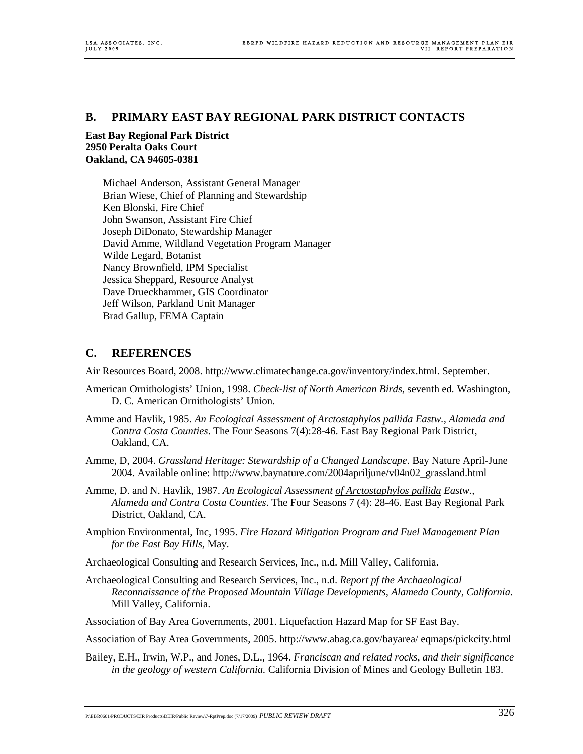### **B. PRIMARY EAST BAY REGIONAL PARK DISTRICT CONTACTS**

#### **East Bay Regional Park District 2950 Peralta Oaks Court Oakland, CA 94605-0381**

Michael Anderson, Assistant General Manager Brian Wiese, Chief of Planning and Stewardship Ken Blonski, Fire Chief John Swanson, Assistant Fire Chief Joseph DiDonato, Stewardship Manager David Amme, Wildland Vegetation Program Manager Wilde Legard, Botanist Nancy Brownfield, IPM Specialist Jessica Sheppard, Resource Analyst Dave Drueckhammer, GIS Coordinator Jeff Wilson, Parkland Unit Manager Brad Gallup, FEMA Captain

## **C. REFERENCES**

Air Resources Board, 2008. http://www.climatechange.ca.gov/inventory/index.html. September.

- American Ornithologists' Union, 1998. *Check-list of North American Birds*, seventh ed*.* Washington, D. C. American Ornithologists' Union.
- Amme and Havlik, 1985. *An Ecological Assessment of Arctostaphylos pallida Eastw., Alameda and Contra Costa Counties*. The Four Seasons 7(4):28-46. East Bay Regional Park District, Oakland, CA.
- Amme, D, 2004. *Grassland Heritage: Stewardship of a Changed Landscape*. Bay Nature April-June 2004. Available online: http://www.baynature.com/2004apriljune/v04n02\_grassland.html
- Amme, D. and N. Havlik, 1987. *An Ecological Assessment of Arctostaphylos pallida Eastw., Alameda and Contra Costa Counties*. The Four Seasons 7 (4): 28-46. East Bay Regional Park District, Oakland, CA.
- Amphion Environmental, Inc, 1995. *Fire Hazard Mitigation Program and Fuel Management Plan for the East Bay Hills,* May.
- Archaeological Consulting and Research Services, Inc., n.d. Mill Valley, California.
- Archaeological Consulting and Research Services, Inc., n.d. *Report pf the Archaeological Reconnaissance of the Proposed Mountain Village Developments, Alameda County, California*. Mill Valley, California.
- Association of Bay Area Governments, 2001. Liquefaction Hazard Map for SF East Bay.
- Association of Bay Area Governments, 2005. http://www.abag.ca.gov/bayarea/ eqmaps/pickcity.html
- Bailey, E.H., Irwin, W.P., and Jones, D.L., 1964. *Franciscan and related rocks, and their significance in the geology of western California.* California Division of Mines and Geology Bulletin 183.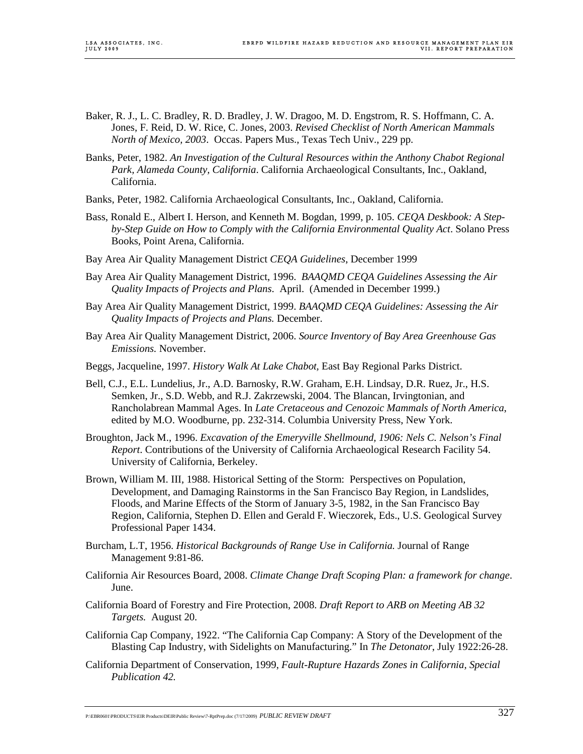- Baker, R. J., L. C. Bradley, R. D. Bradley, J. W. Dragoo, M. D. Engstrom, R. S. Hoffmann, C. A. Jones, F. Reid, D. W. Rice, C. Jones, 2003. *Revised Checklist of North American Mammals North of Mexico, 2003*. Occas. Papers Mus., Texas Tech Univ., 229 pp.
- Banks, Peter, 1982. *An Investigation of the Cultural Resources within the Anthony Chabot Regional Park, Alameda County, California*. California Archaeological Consultants, Inc., Oakland, California.
- Banks, Peter, 1982. California Archaeological Consultants, Inc., Oakland, California.
- Bass, Ronald E., Albert I. Herson, and Kenneth M. Bogdan, 1999, p. 105. *CEQA Deskbook: A Stepby-Step Guide on How to Comply with the California Environmental Quality Act*. Solano Press Books, Point Arena, California.
- Bay Area Air Quality Management District *CEQA Guidelines*, December 1999
- Bay Area Air Quality Management District, 1996. *BAAQMD CEQA Guidelines Assessing the Air Quality Impacts of Projects and Plans*. April. (Amended in December 1999.)
- Bay Area Air Quality Management District, 1999. *BAAQMD CEQA Guidelines: Assessing the Air Quality Impacts of Projects and Plans.* December.
- Bay Area Air Quality Management District, 2006. *Source Inventory of Bay Area Greenhouse Gas Emissions.* November.
- Beggs, Jacqueline, 1997. *History Walk At Lake Chabot,* East Bay Regional Parks District.
- Bell, C.J., E.L. Lundelius, Jr., A.D. Barnosky, R.W. Graham, E.H. Lindsay, D.R. Ruez, Jr., H.S. Semken, Jr., S.D. Webb, and R.J. Zakrzewski, 2004. The Blancan, Irvingtonian, and Rancholabrean Mammal Ages. In *Late Cretaceous and Cenozoic Mammals of North America*, edited by M.O. Woodburne, pp. 232-314. Columbia University Press, New York.
- Broughton, Jack M., 1996. *Excavation of the Emeryville Shellmound, 1906: Nels C. Nelson's Final Report*. Contributions of the University of California Archaeological Research Facility 54. University of California, Berkeley.
- Brown, William M. III, 1988. Historical Setting of the Storm: Perspectives on Population, Development, and Damaging Rainstorms in the San Francisco Bay Region, in Landslides, Floods, and Marine Effects of the Storm of January 3-5, 1982, in the San Francisco Bay Region, California, Stephen D. Ellen and Gerald F. Wieczorek, Eds., U.S. Geological Survey Professional Paper 1434.
- Burcham, L.T, 1956. *Historical Backgrounds of Range Use in California.* Journal of Range Management 9:81-86.
- California Air Resources Board, 2008. *Climate Change Draft Scoping Plan: a framework for change*. June.
- California Board of Forestry and Fire Protection, 2008. *Draft Report to ARB on Meeting AB 32 Targets.* August 20.
- California Cap Company, 1922. "The California Cap Company: A Story of the Development of the Blasting Cap Industry, with Sidelights on Manufacturing." In *The Detonator*, July 1922:26-28.
- California Department of Conservation, 1999, *Fault-Rupture Hazards Zones in California, Special Publication 42.*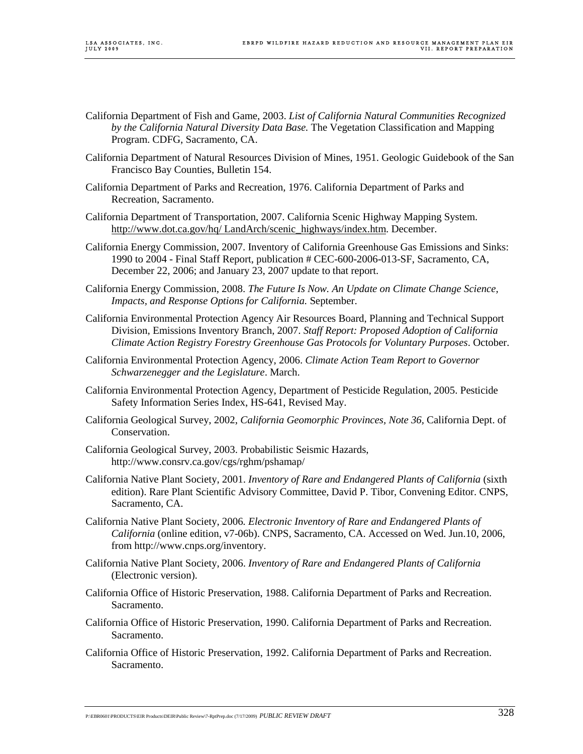- California Department of Fish and Game, 2003. *List of California Natural Communities Recognized by the California Natural Diversity Data Base.* The Vegetation Classification and Mapping Program. CDFG, Sacramento, CA.
- California Department of Natural Resources Division of Mines, 1951. Geologic Guidebook of the San Francisco Bay Counties, Bulletin 154.
- California Department of Parks and Recreation, 1976. California Department of Parks and Recreation, Sacramento.
- California Department of Transportation, 2007. California Scenic Highway Mapping System. http://www.dot.ca.gov/hq/ LandArch/scenic\_highways/index.htm. December.
- California Energy Commission, 2007. Inventory of California Greenhouse Gas Emissions and Sinks: 1990 to 2004 - Final Staff Report, publication # CEC-600-2006-013-SF, Sacramento, CA, December 22, 2006; and January 23, 2007 update to that report.
- California Energy Commission, 2008. *The Future Is Now. An Update on Climate Change Science, Impacts, and Response Options for California.* September.
- California Environmental Protection Agency Air Resources Board, Planning and Technical Support Division, Emissions Inventory Branch, 2007. *Staff Report: Proposed Adoption of California Climate Action Registry Forestry Greenhouse Gas Protocols for Voluntary Purposes*. October.
- California Environmental Protection Agency, 2006. *Climate Action Team Report to Governor Schwarzenegger and the Legislature*. March.
- California Environmental Protection Agency, Department of Pesticide Regulation, 2005. Pesticide Safety Information Series Index, HS-641, Revised May.
- California Geological Survey, 2002, *California Geomorphic Provinces, Note 36,* California Dept. of Conservation.
- California Geological Survey, 2003. Probabilistic Seismic Hazards, http://www.consrv.ca.gov/cgs/rghm/pshamap/
- California Native Plant Society, 2001. *Inventory of Rare and Endangered Plants of California* (sixth edition). Rare Plant Scientific Advisory Committee, David P. Tibor, Convening Editor. CNPS, Sacramento, CA.
- California Native Plant Society, 2006*. Electronic Inventory of Rare and Endangered Plants of California* (online edition, v7-06b). CNPS, Sacramento, CA. Accessed on Wed. Jun.10, 2006, from http://www.cnps.org/inventory.
- California Native Plant Society, 2006. *Inventory of Rare and Endangered Plants of California* (Electronic version).
- California Office of Historic Preservation, 1988. California Department of Parks and Recreation. Sacramento.
- California Office of Historic Preservation, 1990. California Department of Parks and Recreation. Sacramento.
- California Office of Historic Preservation, 1992. California Department of Parks and Recreation. Sacramento.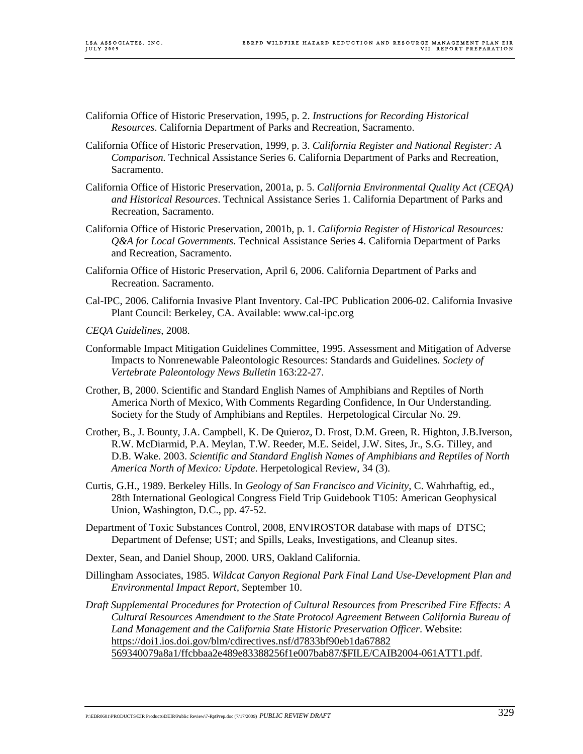- California Office of Historic Preservation, 1995, p. 2. *Instructions for Recording Historical Resources*. California Department of Parks and Recreation, Sacramento.
- California Office of Historic Preservation, 1999, p. 3. *California Register and National Register: A Comparison.* Technical Assistance Series 6. California Department of Parks and Recreation, Sacramento.
- California Office of Historic Preservation, 2001a, p. 5. *California Environmental Quality Act (CEQA) and Historical Resources*. Technical Assistance Series 1. California Department of Parks and Recreation, Sacramento.
- California Office of Historic Preservation, 2001b, p. 1. *California Register of Historical Resources: Q&A for Local Governments*. Technical Assistance Series 4. California Department of Parks and Recreation, Sacramento.
- California Office of Historic Preservation, April 6, 2006. California Department of Parks and Recreation. Sacramento.
- Cal-IPC, 2006. California Invasive Plant Inventory. Cal-IPC Publication 2006-02. California Invasive Plant Council: Berkeley, CA. Available: www.cal-ipc.org
- *CEQA Guidelines*, 2008.
- Conformable Impact Mitigation Guidelines Committee, 1995. Assessment and Mitigation of Adverse Impacts to Nonrenewable Paleontologic Resources: Standards and Guidelines*. Society of Vertebrate Paleontology News Bulletin* 163:22-27.
- Crother, B, 2000. Scientific and Standard English Names of Amphibians and Reptiles of North America North of Mexico, With Comments Regarding Confidence, In Our Understanding. Society for the Study of Amphibians and Reptiles. Herpetological Circular No. 29.
- Crother, B., J. Bounty, J.A. Campbell, K. De Quieroz, D. Frost, D.M. Green, R. Highton, J.B.Iverson, R.W. McDiarmid, P.A. Meylan, T.W. Reeder, M.E. Seidel, J.W. Sites, Jr., S.G. Tilley, and D.B. Wake. 2003. *Scientific and Standard English Names of Amphibians and Reptiles of North America North of Mexico: Update*. Herpetological Review, 34 (3).
- Curtis, G.H., 1989. Berkeley Hills. In *Geology of San Francisco and Vicinity*, C. Wahrhaftig, ed., 28th International Geological Congress Field Trip Guidebook T105: American Geophysical Union, Washington, D.C., pp. 47-52.
- Department of Toxic Substances Control, 2008, ENVIROSTOR database with maps of DTSC; Department of Defense; UST; and Spills, Leaks, Investigations, and Cleanup sites.
- Dexter, Sean, and Daniel Shoup, 2000. URS, Oakland California.
- Dillingham Associates, 1985. *Wildcat Canyon Regional Park Final Land Use-Development Plan and Environmental Impact Report,* September 10.
- *Draft Supplemental Procedures for Protection of Cultural Resources from Prescribed Fire Effects: A Cultural Resources Amendment to the State Protocol Agreement Between California Bureau of Land Management and the California State Historic Preservation Officer*. Website: https://doi1.ios.doi.gov/blm/cdirectives.nsf/d7833bf90eb1da67882 569340079a8a1/ffcbbaa2e489e83388256f1e007bab87/\$FILE/CAIB2004-061ATT1.pdf.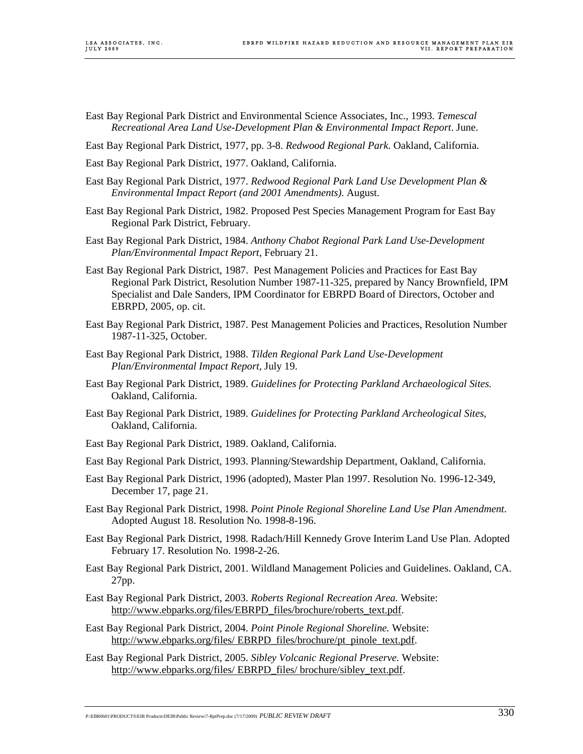- East Bay Regional Park District and Environmental Science Associates, Inc., 1993. *Temescal Recreational Area Land Use-Development Plan & Environmental Impact Report*. June.
- East Bay Regional Park District, 1977, pp. 3-8. *Redwood Regional Park.* Oakland, California.
- East Bay Regional Park District, 1977. Oakland, California.
- East Bay Regional Park District, 1977. *Redwood Regional Park Land Use Development Plan & Environmental Impact Report (and 2001 Amendments)*. August.
- East Bay Regional Park District, 1982. Proposed Pest Species Management Program for East Bay Regional Park District, February.
- East Bay Regional Park District, 1984. *Anthony Chabot Regional Park Land Use-Development Plan/Environmental Impact Report,* February 21.
- East Bay Regional Park District, 1987. Pest Management Policies and Practices for East Bay Regional Park District, Resolution Number 1987-11-325, prepared by Nancy Brownfield, IPM Specialist and Dale Sanders, IPM Coordinator for EBRPD Board of Directors, October and EBRPD, 2005, op. cit.
- East Bay Regional Park District, 1987. Pest Management Policies and Practices, Resolution Number 1987-11-325, October.
- East Bay Regional Park District, 1988. *Tilden Regional Park Land Use-Development Plan/Environmental Impact Report,* July 19.
- East Bay Regional Park District, 1989. *Guidelines for Protecting Parkland Archaeological Sites.*  Oakland, California.
- East Bay Regional Park District, 1989. *Guidelines for Protecting Parkland Archeological Sites*, Oakland, California.
- East Bay Regional Park District, 1989. Oakland, California.
- East Bay Regional Park District, 1993. Planning/Stewardship Department, Oakland, California.
- East Bay Regional Park District, 1996 (adopted), Master Plan 1997. Resolution No. 1996-12-349, December 17, page 21.
- East Bay Regional Park District, 1998. *Point Pinole Regional Shoreline Land Use Plan Amendment*. Adopted August 18. Resolution No. 1998-8-196.
- East Bay Regional Park District, 1998. Radach/Hill Kennedy Grove Interim Land Use Plan. Adopted February 17. Resolution No. 1998-2-26.
- East Bay Regional Park District, 2001. Wildland Management Policies and Guidelines. Oakland, CA. 27pp.
- East Bay Regional Park District, 2003. *Roberts Regional Recreation Area.* Website: http://www.ebparks.org/files/EBRPD\_files/brochure/roberts\_text.pdf.
- East Bay Regional Park District, 2004. *Point Pinole Regional Shoreline.* Website: http://www.ebparks.org/files/ EBRPD\_files/brochure/pt\_pinole\_text.pdf.
- East Bay Regional Park District, 2005. *Sibley Volcanic Regional Preserve.* Website: http://www.ebparks.org/files/ EBRPD\_files/ brochure/sibley\_text.pdf.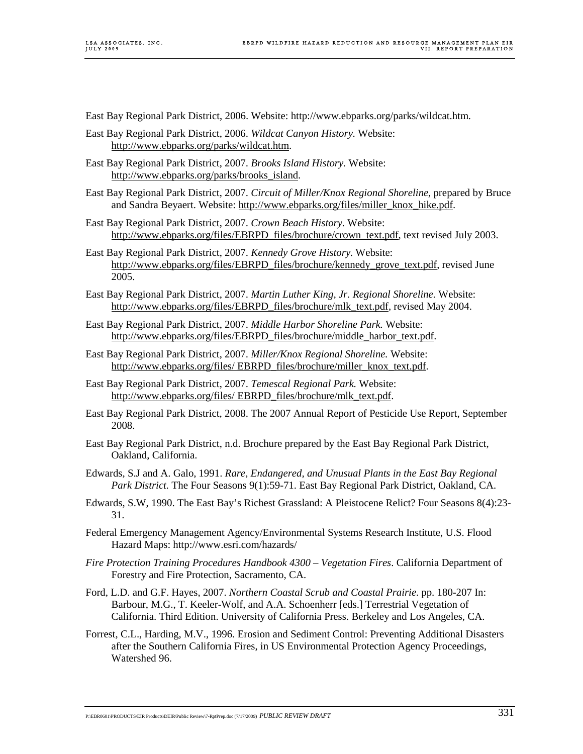- East Bay Regional Park District, 2006. Website: http://www.ebparks.org/parks/wildcat.htm.
- East Bay Regional Park District, 2006. *Wildcat Canyon History.* Website: http://www.ebparks.org/parks/wildcat.htm.
- East Bay Regional Park District, 2007. *Brooks Island History.* Website: http://www.ebparks.org/parks/brooks\_island.
- East Bay Regional Park District, 2007. *Circuit of Miller/Knox Regional Shoreline,* prepared by Bruce and Sandra Beyaert. Website: http://www.ebparks.org/files/miller\_knox\_hike.pdf.
- East Bay Regional Park District, 2007. *Crown Beach History.* Website: http://www.ebparks.org/files/EBRPD\_files/brochure/crown\_text.pdf, text revised July 2003.
- East Bay Regional Park District, 2007. *Kennedy Grove History.* Website: http://www.ebparks.org/files/EBRPD\_files/brochure/kennedy\_grove\_text.pdf, revised June 2005.
- East Bay Regional Park District, 2007. *Martin Luther King, Jr. Regional Shoreline.* Website: http://www.ebparks.org/files/EBRPD\_files/brochure/mlk\_text.pdf, revised May 2004.
- East Bay Regional Park District, 2007. *Middle Harbor Shoreline Park.* Website: http://www.ebparks.org/files/EBRPD\_files/brochure/middle\_harbor\_text.pdf.
- East Bay Regional Park District, 2007. *Miller/Knox Regional Shoreline.* Website: http://www.ebparks.org/files/ EBRPD\_files/brochure/miller\_knox\_text.pdf.
- East Bay Regional Park District, 2007. *Temescal Regional Park.* Website: http://www.ebparks.org/files/ EBRPD\_files/brochure/mlk\_text.pdf.
- East Bay Regional Park District, 2008. The 2007 Annual Report of Pesticide Use Report, September 2008.
- East Bay Regional Park District, n.d. Brochure prepared by the East Bay Regional Park District, Oakland, California.
- Edwards, S.J and A. Galo, 1991. *Rare, Endangered, and Unusual Plants in the East Bay Regional Park District.* The Four Seasons 9(1):59-71. East Bay Regional Park District, Oakland, CA.
- Edwards, S.W, 1990. The East Bay's Richest Grassland: A Pleistocene Relict? Four Seasons 8(4):23- 31.
- Federal Emergency Management Agency/Environmental Systems Research Institute, U.S. Flood Hazard Maps: http://www.esri.com/hazards/
- *Fire Protection Training Procedures Handbook 4300 Vegetation Fires*. California Department of Forestry and Fire Protection, Sacramento, CA.
- Ford, L.D. and G.F. Hayes, 2007. *Northern Coastal Scrub and Coastal Prairie*. pp. 180-207 In: Barbour, M.G., T. Keeler-Wolf, and A.A. Schoenherr [eds.] Terrestrial Vegetation of California. Third Edition. University of California Press. Berkeley and Los Angeles, CA.
- Forrest, C.L., Harding, M.V., 1996. Erosion and Sediment Control: Preventing Additional Disasters after the Southern California Fires, in US Environmental Protection Agency Proceedings, Watershed 96.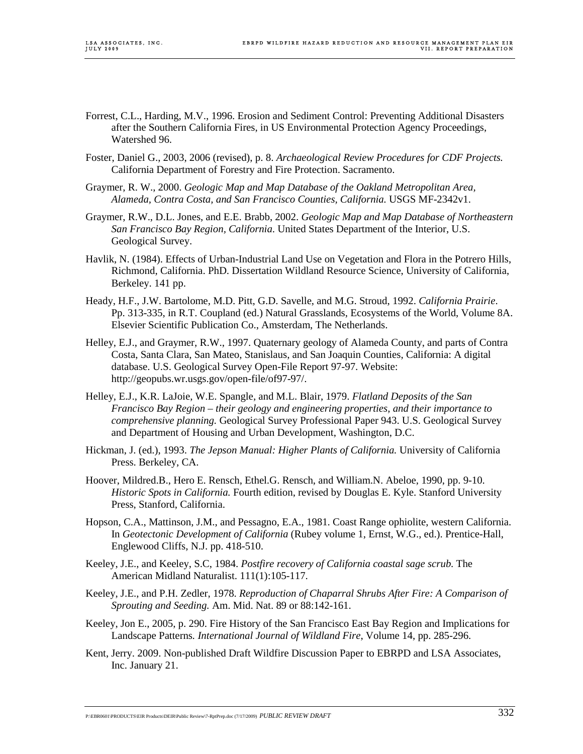- Forrest, C.L., Harding, M.V., 1996. Erosion and Sediment Control: Preventing Additional Disasters after the Southern California Fires, in US Environmental Protection Agency Proceedings, Watershed 96.
- Foster, Daniel G., 2003, 2006 (revised), p. 8. *Archaeological Review Procedures for CDF Projects.*  California Department of Forestry and Fire Protection. Sacramento.
- Graymer, R. W., 2000. *Geologic Map and Map Database of the Oakland Metropolitan Area, Alameda, Contra Costa, and San Francisco Counties, California.* USGS MF-2342v1.
- Graymer, R.W., D.L. Jones, and E.E. Brabb, 2002. *Geologic Map and Map Database of Northeastern San Francisco Bay Region, California*. United States Department of the Interior, U.S. Geological Survey.
- Havlik, N. (1984). Effects of Urban-Industrial Land Use on Vegetation and Flora in the Potrero Hills, Richmond, California. PhD. Dissertation Wildland Resource Science, University of California, Berkeley. 141 pp.
- Heady, H.F., J.W. Bartolome, M.D. Pitt, G.D. Savelle, and M.G. Stroud, 1992. *California Prairie*. Pp. 313-335, in R.T. Coupland (ed.) Natural Grasslands, Ecosystems of the World, Volume 8A. Elsevier Scientific Publication Co., Amsterdam, The Netherlands.
- Helley, E.J., and Graymer, R.W., 1997. Quaternary geology of Alameda County, and parts of Contra Costa, Santa Clara, San Mateo, Stanislaus, and San Joaquin Counties, California: A digital database. U.S. Geological Survey Open-File Report 97-97. Website: http://geopubs.wr.usgs.gov/open-file/of97-97/.
- Helley, E.J., K.R. LaJoie, W.E. Spangle, and M.L. Blair, 1979. *Flatland Deposits of the San Francisco Bay Region – their geology and engineering properties, and their importance to comprehensive planning.* Geological Survey Professional Paper 943. U.S. Geological Survey and Department of Housing and Urban Development, Washington, D.C.
- Hickman, J. (ed.), 1993. *The Jepson Manual: Higher Plants of California.* University of California Press. Berkeley, CA.
- Hoover, Mildred.B., Hero E. Rensch, Ethel.G. Rensch, and William.N. Abeloe, 1990, pp. 9-10. *Historic Spots in California.* Fourth edition, revised by Douglas E. Kyle. Stanford University Press, Stanford, California.
- Hopson, C.A., Mattinson, J.M., and Pessagno, E.A., 1981. Coast Range ophiolite, western California. In *Geotectonic Development of California* (Rubey volume 1, Ernst, W.G., ed.). Prentice-Hall, Englewood Cliffs, N.J. pp. 418-510.
- Keeley, J.E., and Keeley, S.C, 1984. *Postfire recovery of California coastal sage scrub.* The American Midland Naturalist. 111(1):105-117.
- Keeley, J.E., and P.H. Zedler, 1978. *Reproduction of Chaparral Shrubs After Fire: A Comparison of Sprouting and Seeding.* Am. Mid. Nat. 89 or 88:142-161.
- Keeley, Jon E., 2005, p. 290. Fire History of the San Francisco East Bay Region and Implications for Landscape Patterns*. International Journal of Wildland Fire*, Volume 14, pp. 285-296.
- Kent, Jerry. 2009. Non-published Draft Wildfire Discussion Paper to EBRPD and LSA Associates, Inc. January 21.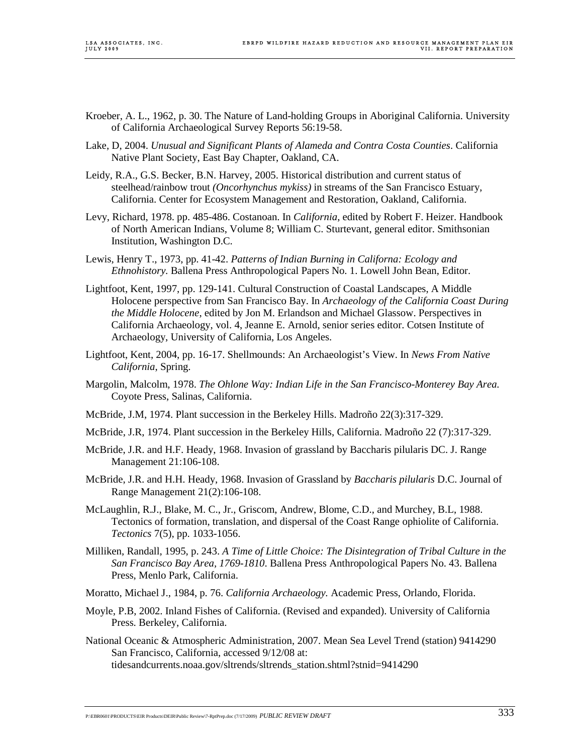- Kroeber, A. L., 1962, p. 30. The Nature of Land-holding Groups in Aboriginal California. University of California Archaeological Survey Reports 56:19-58.
- Lake, D, 2004. *Unusual and Significant Plants of Alameda and Contra Costa Counties*. California Native Plant Society, East Bay Chapter, Oakland, CA.
- Leidy, R.A., G.S. Becker, B.N. Harvey, 2005. Historical distribution and current status of steelhead/rainbow trout *(Oncorhynchus mykiss)* in streams of the San Francisco Estuary, California. Center for Ecosystem Management and Restoration, Oakland, California.
- Levy, Richard, 1978. pp. 485-486. Costanoan. In *California*, edited by Robert F. Heizer. Handbook of North American Indians, Volume 8; William C. Sturtevant, general editor. Smithsonian Institution, Washington D.C.
- Lewis, Henry T., 1973, pp. 41-42. *Patterns of Indian Burning in Californa: Ecology and Ethnohistory.* Ballena Press Anthropological Papers No. 1. Lowell John Bean, Editor.
- Lightfoot, Kent, 1997, pp. 129-141. Cultural Construction of Coastal Landscapes, A Middle Holocene perspective from San Francisco Bay. In *Archaeology of the California Coast During the Middle Holocene*, edited by Jon M. Erlandson and Michael Glassow. Perspectives in California Archaeology, vol. 4, Jeanne E. Arnold, senior series editor. Cotsen Institute of Archaeology, University of California, Los Angeles.
- Lightfoot, Kent, 2004, pp. 16-17. Shellmounds: An Archaeologist's View. In *News From Native California*, Spring.
- Margolin, Malcolm, 1978. *The Ohlone Way: Indian Life in the San Francisco-Monterey Bay Area.*  Coyote Press, Salinas, California.
- McBride, J.M, 1974. Plant succession in the Berkeley Hills. Madroño 22(3):317-329.
- McBride, J.R, 1974. Plant succession in the Berkeley Hills, California. Madroño 22 (7):317-329.
- McBride, J.R. and H.F. Heady, 1968. Invasion of grassland by Baccharis pilularis DC. J. Range Management 21:106-108.
- McBride, J.R. and H.H. Heady, 1968. Invasion of Grassland by *Baccharis pilularis* D.C. Journal of Range Management 21(2):106-108.
- McLaughlin, R.J., Blake, M. C., Jr., Griscom, Andrew, Blome, C.D., and Murchey, B.L, 1988. Tectonics of formation, translation, and dispersal of the Coast Range ophiolite of California. *Tectonics* 7(5), pp. 1033-1056.
- Milliken, Randall, 1995, p. 243. *A Time of Little Choice: The Disintegration of Tribal Culture in the San Francisco Bay Area, 1769-1810*. Ballena Press Anthropological Papers No. 43. Ballena Press, Menlo Park, California.
- Moratto, Michael J., 1984, p. 76. *California Archaeology.* Academic Press, Orlando, Florida.
- Moyle, P.B, 2002. Inland Fishes of California. (Revised and expanded). University of California Press. Berkeley, California.
- National Oceanic & Atmospheric Administration, 2007. Mean Sea Level Trend (station) 9414290 San Francisco, California, accessed 9/12/08 at: tidesandcurrents.noaa.gov/sltrends/sltrends\_station.shtml?stnid=9414290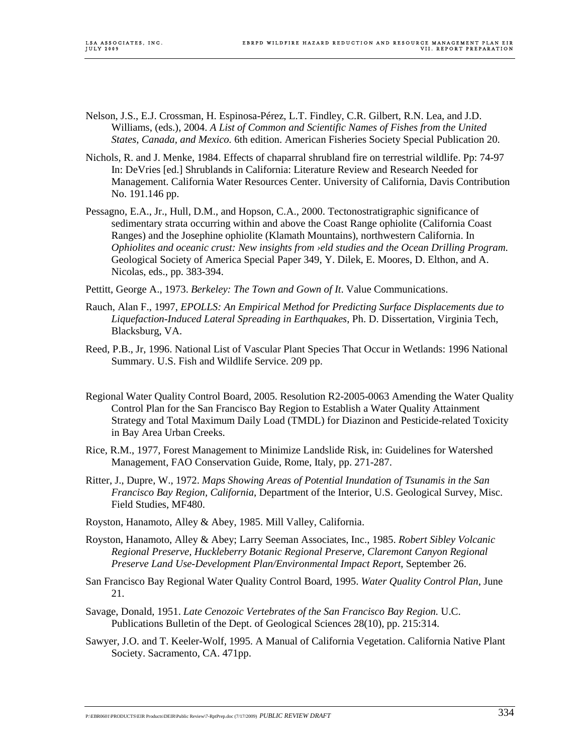- Nelson, J.S., E.J. Crossman, H. Espinosa-Pérez, L.T. Findley, C.R. Gilbert, R.N. Lea, and J.D. Williams, (eds.), 2004. *A List of Common and Scientific Names of Fishes from the United States, Canada, and Mexico.* 6th edition. American Fisheries Society Special Publication 20.
- Nichols, R. and J. Menke, 1984. Effects of chaparral shrubland fire on terrestrial wildlife. Pp: 74-97 In: DeVries [ed.] Shrublands in California: Literature Review and Research Needed for Management. California Water Resources Center. University of California, Davis Contribution No. 191.146 pp.
- Pessagno, E.A., Jr., Hull, D.M., and Hopson, C.A., 2000. Tectonostratigraphic significance of sedimentary strata occurring within and above the Coast Range ophiolite (California Coast Ranges) and the Josephine ophiolite (Klamath Mountains), northwestern California. In *Ophiolites and oceanic crust: New insights from ›eld studies and the Ocean Drilling Program*. Geological Society of America Special Paper 349, Y. Dilek, E. Moores, D. Elthon, and A. Nicolas, eds., pp. 383-394.
- Pettitt, George A., 1973. *Berkeley: The Town and Gown of It*. Value Communications.
- Rauch, Alan F., 1997, *EPOLLS: An Empirical Method for Predicting Surface Displacements due to Liquefaction-Induced Lateral Spreading in Earthquakes*, Ph. D. Dissertation, Virginia Tech, Blacksburg, VA.
- Reed, P.B., Jr, 1996. National List of Vascular Plant Species That Occur in Wetlands: 1996 National Summary. U.S. Fish and Wildlife Service. 209 pp.
- Regional Water Quality Control Board, 2005. Resolution R2-2005-0063 Amending the Water Quality Control Plan for the San Francisco Bay Region to Establish a Water Quality Attainment Strategy and Total Maximum Daily Load (TMDL) for Diazinon and Pesticide-related Toxicity in Bay Area Urban Creeks.
- Rice, R.M., 1977, Forest Management to Minimize Landslide Risk, in: Guidelines for Watershed Management, FAO Conservation Guide, Rome, Italy, pp. 271-287.
- Ritter, J., Dupre, W., 1972. *Maps Showing Areas of Potential Inundation of Tsunamis in the San Francisco Bay Region, California*, Department of the Interior, U.S. Geological Survey, Misc. Field Studies, MF480.
- Royston, Hanamoto, Alley & Abey, 1985. Mill Valley, California.
- Royston, Hanamoto, Alley & Abey; Larry Seeman Associates, Inc., 1985. *Robert Sibley Volcanic Regional Preserve, Huckleberry Botanic Regional Preserve, Claremont Canyon Regional Preserve Land Use-Development Plan/Environmental Impact Report*, September 26.
- San Francisco Bay Regional Water Quality Control Board, 1995. *Water Quality Control Plan*, June 21.
- Savage, Donald, 1951. *Late Cenozoic Vertebrates of the San Francisco Bay Region.* U.C. Publications Bulletin of the Dept. of Geological Sciences 28(10), pp. 215:314.
- Sawyer, J.O. and T. Keeler-Wolf, 1995. A Manual of California Vegetation. California Native Plant Society. Sacramento, CA. 471pp.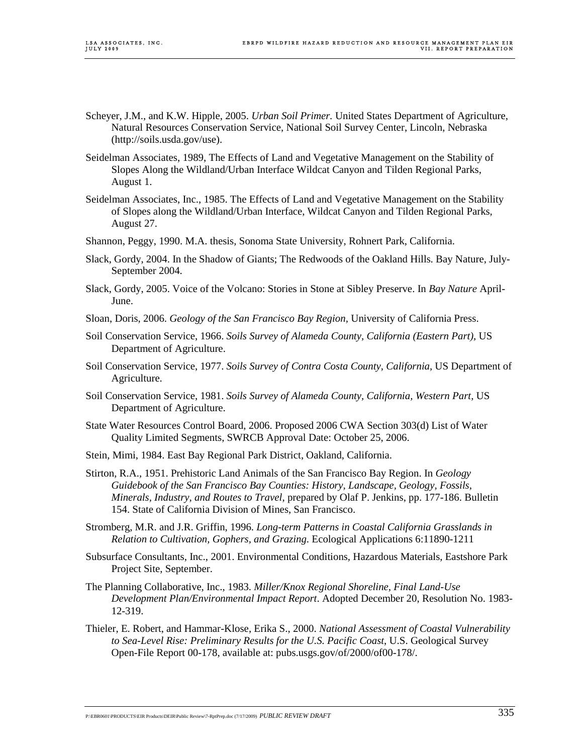- Scheyer, J.M., and K.W. Hipple, 2005. *Urban Soil Primer.* United States Department of Agriculture, Natural Resources Conservation Service, National Soil Survey Center, Lincoln, Nebraska (http://soils.usda.gov/use).
- Seidelman Associates, 1989, The Effects of Land and Vegetative Management on the Stability of Slopes Along the Wildland/Urban Interface Wildcat Canyon and Tilden Regional Parks, August 1.
- Seidelman Associates, Inc., 1985. The Effects of Land and Vegetative Management on the Stability of Slopes along the Wildland/Urban Interface, Wildcat Canyon and Tilden Regional Parks, August 27.
- Shannon, Peggy, 1990. M.A. thesis, Sonoma State University, Rohnert Park, California.
- Slack, Gordy, 2004. In the Shadow of Giants; The Redwoods of the Oakland Hills. Bay Nature, July-September 2004.
- Slack, Gordy, 2005. Voice of the Volcano: Stories in Stone at Sibley Preserve. In *Bay Nature* April-June.
- Sloan, Doris, 2006. *Geology of the San Francisco Bay Region,* University of California Press.
- Soil Conservation Service, 1966. *Soils Survey of Alameda County, California (Eastern Part),* US Department of Agriculture.
- Soil Conservation Service, 1977. *Soils Survey of Contra Costa County, California,* US Department of Agriculture.
- Soil Conservation Service, 1981. *Soils Survey of Alameda County, California, Western Part,* US Department of Agriculture.
- State Water Resources Control Board, 2006. Proposed 2006 CWA Section 303(d) List of Water Quality Limited Segments, SWRCB Approval Date: October 25, 2006.
- Stein, Mimi, 1984. East Bay Regional Park District, Oakland, California.
- Stirton, R.A., 1951. Prehistoric Land Animals of the San Francisco Bay Region. In *Geology Guidebook of the San Francisco Bay Counties: History, Landscape, Geology, Fossils, Minerals, Industry, and Routes to Travel*, prepared by Olaf P. Jenkins, pp. 177-186. Bulletin 154. State of California Division of Mines, San Francisco.
- Stromberg, M.R. and J.R. Griffin, 1996. *Long-term Patterns in Coastal California Grasslands in Relation to Cultivation, Gophers, and Grazing*. Ecological Applications 6:11890-1211
- Subsurface Consultants, Inc., 2001. Environmental Conditions, Hazardous Materials, Eastshore Park Project Site, September.
- The Planning Collaborative, Inc., 1983. *Miller/Knox Regional Shoreline, Final Land-Use Development Plan/Environmental Impact Report*. Adopted December 20, Resolution No. 1983- 12-319.
- Thieler, E. Robert, and Hammar-Klose, Erika S., 2000. *National Assessment of Coastal Vulnerability to Sea-Level Rise: Preliminary Results for the U.S. Pacific Coast*, U.S. Geological Survey Open-File Report 00-178, available at: pubs.usgs.gov/of/2000/of00-178/.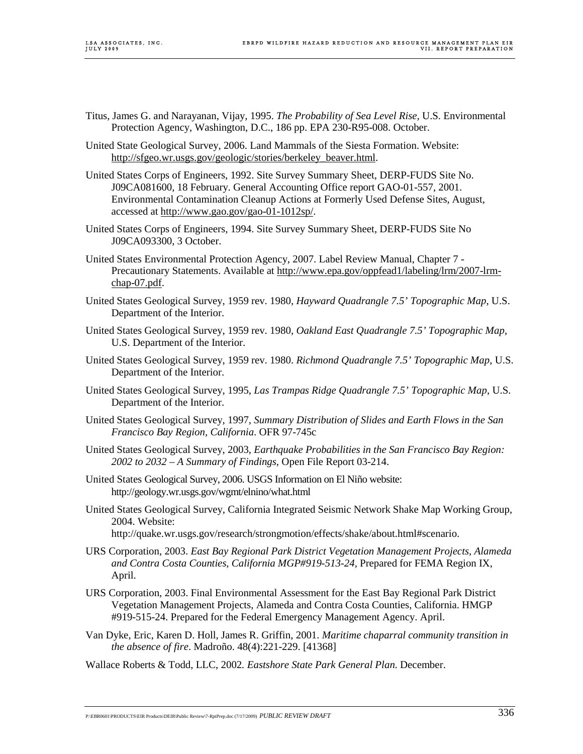- Titus, James G. and Narayanan, Vijay, 1995. *The Probability of Sea Level Rise,* U.S. Environmental Protection Agency, Washington, D.C., 186 pp. EPA 230-R95-008. October.
- United State Geological Survey, 2006. Land Mammals of the Siesta Formation. Website: http://sfgeo.wr.usgs.gov/geologic/stories/berkeley\_beaver.html.
- United States Corps of Engineers, 1992. Site Survey Summary Sheet, DERP-FUDS Site No. J09CA081600, 18 February. General Accounting Office report GAO-01-557, 2001. Environmental Contamination Cleanup Actions at Formerly Used Defense Sites, August, accessed at http://www.gao.gov/gao-01-1012sp/.
- United States Corps of Engineers, 1994. Site Survey Summary Sheet, DERP-FUDS Site No J09CA093300, 3 October.
- United States Environmental Protection Agency, 2007. Label Review Manual, Chapter 7 Precautionary Statements. Available at http://www.epa.gov/oppfead1/labeling/lrm/2007-lrmchap-07.pdf.
- United States Geological Survey, 1959 rev. 1980, *Hayward Quadrangle 7.5' Topographic Map*, U.S. Department of the Interior.
- United States Geological Survey, 1959 rev. 1980, *Oakland East Quadrangle 7.5' Topographic Map*, U.S. Department of the Interior.
- United States Geological Survey, 1959 rev. 1980. *Richmond Quadrangle 7.5' Topographic Map*, U.S. Department of the Interior.
- United States Geological Survey, 1995, *Las Trampas Ridge Quadrangle 7.5' Topographic Map*, U.S. Department of the Interior.
- United States Geological Survey, 1997, *Summary Distribution of Slides and Earth Flows in the San Francisco Bay Region, California*. OFR 97-745c
- United States Geological Survey, 2003, *Earthquake Probabilities in the San Francisco Bay Region: 2002 to 2032 – A Summary of Findings*, Open File Report 03-214.
- United States Geological Survey, 2006. USGS Information on El Niño website: http://geology.wr.usgs.gov/wgmt/elnino/what.html
- United States Geological Survey, California Integrated Seismic Network Shake Map Working Group, 2004. Website:

http://quake.wr.usgs.gov/research/strongmotion/effects/shake/about.html#scenario.

- URS Corporation, 2003. *East Bay Regional Park District Vegetation Management Projects, Alameda and Contra Costa Counties, California MGP#919-513-24,* Prepared for FEMA Region IX, April.
- URS Corporation, 2003. Final Environmental Assessment for the East Bay Regional Park District Vegetation Management Projects, Alameda and Contra Costa Counties, California. HMGP #919-515-24. Prepared for the Federal Emergency Management Agency. April.
- Van Dyke, Eric, Karen D. Holl, James R. Griffin, 2001. *Maritime chaparral community transition in the absence of fire*. Madroño. 48(4):221-229. [41368]

Wallace Roberts & Todd, LLC, 2002*. Eastshore State Park General Plan*. December.